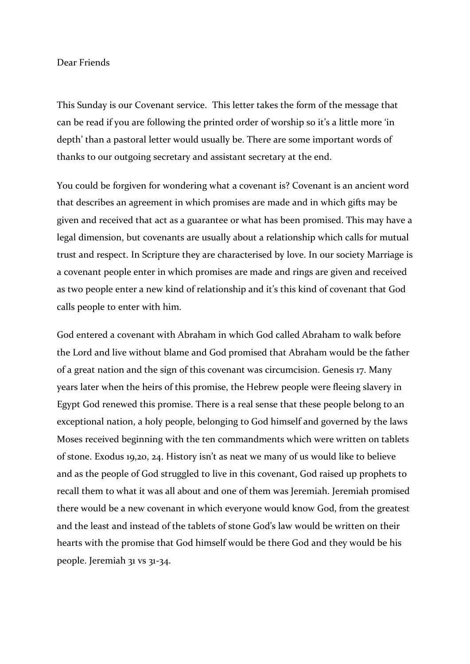## Dear Friends

This Sunday is our Covenant service. This letter takes the form of the message that can be read if you are following the printed order of worship so it's a little more 'in depth' than a pastoral letter would usually be. There are some important words of thanks to our outgoing secretary and assistant secretary at the end.

You could be forgiven for wondering what a covenant is? Covenant is an ancient word that describes an agreement in which promises are made and in which gifts may be given and received that act as a guarantee or what has been promised. This may have a legal dimension, but covenants are usually about a relationship which calls for mutual trust and respect. In Scripture they are characterised by love. In our society Marriage is a covenant people enter in which promises are made and rings are given and received as two people enter a new kind of relationship and it's this kind of covenant that God calls people to enter with him.

God entered a covenant with Abraham in which God called Abraham to walk before the Lord and live without blame and God promised that Abraham would be the father of a great nation and the sign of this covenant was circumcision. Genesis 17. Many years later when the heirs of this promise, the Hebrew people were fleeing slavery in Egypt God renewed this promise. There is a real sense that these people belong to an exceptional nation, a holy people, belonging to God himself and governed by the laws Moses received beginning with the ten commandments which were written on tablets of stone. Exodus 19,20, 24. History isn't as neat we many of us would like to believe and as the people of God struggled to live in this covenant, God raised up prophets to recall them to what it was all about and one of them was Jeremiah. Jeremiah promised there would be a new covenant in which everyone would know God, from the greatest and the least and instead of the tablets of stone God's law would be written on their hearts with the promise that God himself would be there God and they would be his people. Jeremiah 31 vs 31-34.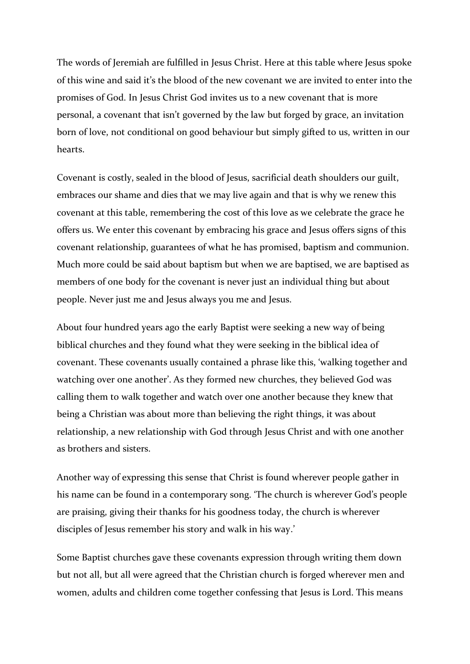The words of Jeremiah are fulfilled in Jesus Christ. Here at this table where Jesus spoke of this wine and said it's the blood of the new covenant we are invited to enter into the promises of God. In Jesus Christ God invites us to a new covenant that is more personal, a covenant that isn't governed by the law but forged by grace, an invitation born of love, not conditional on good behaviour but simply gifted to us, written in our hearts.

Covenant is costly, sealed in the blood of Jesus, sacrificial death shoulders our guilt, embraces our shame and dies that we may live again and that is why we renew this covenant at this table, remembering the cost of this love as we celebrate the grace he offers us. We enter this covenant by embracing his grace and Jesus offers signs of this covenant relationship, guarantees of what he has promised, baptism and communion. Much more could be said about baptism but when we are baptised, we are baptised as members of one body for the covenant is never just an individual thing but about people. Never just me and Jesus always you me and Jesus.

About four hundred years ago the early Baptist were seeking a new way of being biblical churches and they found what they were seeking in the biblical idea of covenant. These covenants usually contained a phrase like this, 'walking together and watching over one another'. As they formed new churches, they believed God was calling them to walk together and watch over one another because they knew that being a Christian was about more than believing the right things, it was about relationship, a new relationship with God through Jesus Christ and with one another as brothers and sisters.

Another way of expressing this sense that Christ is found wherever people gather in his name can be found in a contemporary song. 'The church is wherever God's people are praising, giving their thanks for his goodness today, the church is wherever disciples of Jesus remember his story and walk in his way.'

Some Baptist churches gave these covenants expression through writing them down but not all, but all were agreed that the Christian church is forged wherever men and women, adults and children come together confessing that Jesus is Lord. This means